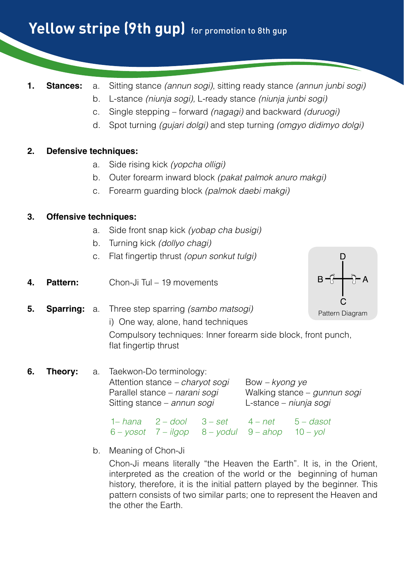# Yellow stripe (9th gup) for promotion to 8th gup

- 
- **1. Stances:** a. Sitting stance *(annun sogi)*, sitting ready stance *(annun junbi sogi)*
	- b. L-stance *(niunja sogi),* L-ready stance *(niunja junbi sogi)*
	- c. Single stepping forward *(nagagi)* and backward *(duruogi)*
	- d. Spot turning *(gujari dolgi)* and step turning *(omgyo didimyo dolgi)*

## **2. Defensive techniques:**

- a. Side rising kick *(yopcha olligi)*
- b. Outer forearm inward block *(pakat palmok anuro makgi)*
- c. Forearm guarding block *(palmok daebi makgi)*

## **3. Offensive techniques:**

- a. Side front snap kick *(yobap cha busigi)*
- b. Turning kick *(dollyo chagi)*
- c. Flat fingertip thrust *(opun sonkut tulgi)*
- **4. Pattern:** Chon-Ji Tul 19 movements



**6. Theory:** a. Taekwon-Do terminology: Attention stance *– charyot sogi* Bow *– kyong ye* Parallel stance – *narani sogi* Walking stance – *gunnun sogi* Sitting stance – *annun sogi* L-stance – *niunja sogi*

|  | $1 - h$ ana $2 - d$ ool $3 - set$ $4 - net$ $5 - d$ asot       |  |
|--|----------------------------------------------------------------|--|
|  | $6 - y$ osot $7 - i$ lgop $8 - y$ odul $9 - a$ hop $10 - y$ ol |  |

b. Meaning of Chon-Ji

Chon-Ji means literally "the Heaven the Earth". It is, in the Orient, interpreted as the creation of the world or the beginning of human history, therefore, it is the initial pattern played by the beginner. This pattern consists of two similar parts; one to represent the Heaven and the other the Earth.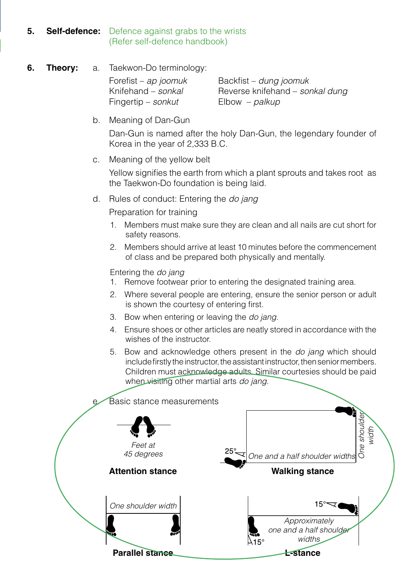## **5. Self-defence:** Defence against grabs to the wrists (Refer self-defence handbook)

## **6. Theory:** a. Taekwon-Do terminology:

Fingertip – *sonkut* Elbow – *palkup*

 Forefist – *ap joomuk* Backfist – *dung joomuk* Knifehand – *sonkal* Reverse knifehand – *sonkal dung*

## b. Meaning of Dan-Gun

Dan-Gun is named after the holy Dan-Gun, the legendary founder of Korea in the year of 2,333 B.C.

c. Meaning of the yellow belt

Yellow signifies the earth from which a plant sprouts and takes root as the Taekwon-Do foundation is being laid.

d. Rules of conduct: Entering the *do jang*

Preparation for training

- 1. Members must make sure they are clean and all nails are cut short for safety reasons.
- 2. Members should arrive at least 10 minutes before the commencement of class and be prepared both physically and mentally.

Entering the *do jang*

- 1. Remove footwear prior to entering the designated training area.
- 2. Where several people are entering, ensure the senior person or adult is shown the courtesy of entering first.
- 3. Bow when entering or leaving the *do jang*.
- 4. Ensure shoes or other articles are neatly stored in accordance with the wishes of the instructor.
- 5. Bow and acknowledge others present in the *do jang* which should include firstly the instructor, the assistant instructor, then senior members. Children must acknowledge adults. Similar courtesies should be paid when visiting other martial arts *do jang*.

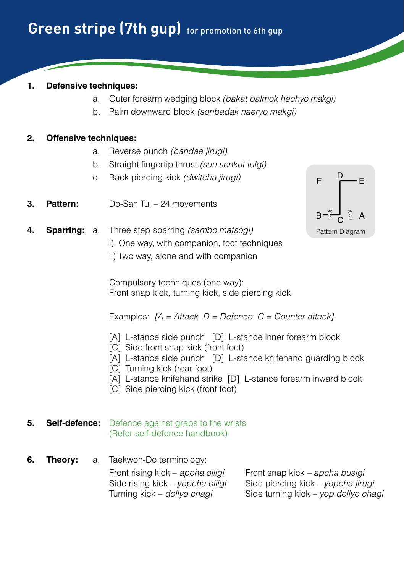## **1. Defensive techniques:**

- a. Outer forearm wedging block *(pakat palmok hechyo makgi)*
- b. Palm downward block *(sonbadak naeryo makgi)*

## **2. Offensive techniques:**

- a. Reverse punch *(bandae jirugi)*
- b. Straight fingertip thrust *(sun sonkut tulgi)*
- c. Back piercing kick *(dwitcha jirugi)*
- **3. Pattern:** Do-San Tul 24 movements



- **4. Sparring:** a. Three step sparring *(sambo matsogi)*
	- i) One way, with companion, foot techniques
	- ii) Two way, alone and with companion

 Compulsory techniques (one way): Front snap kick, turning kick, side piercing kick

Examples: *[A = Attack D = Defence C = Counter attack]*

- [A] L-stance side punch [D] L-stance inner forearm block
- [C] Side front snap kick (front foot)
- [A] L-stance side punch [D] L-stance knifehand guarding block
- [C] Turning kick (rear foot)
- [A] L-stance knifehand strike [D] L-stance forearm inward block
- [C] Side piercing kick (front foot)

#### **5. Self-defence:** Defence against grabs to the wrists (Refer self-defence handbook)

**6. Theory:** a. Taekwon-Do terminology:

 Front rising kick – *apcha olligi* Front snap kick *– apcha busigi* Side rising kick – *yopcha olligi* Side piercing kick – *yopcha jirugi* Turning kick – *dollyo chagi* Side turning kick *– yop dollyo chagi*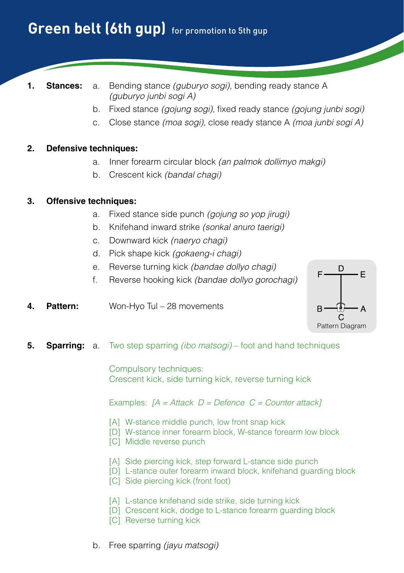## **Green belt (6th qup)** for promotion to 5th qup

- 
- **1. Stances:** a. Bending stance *(guburyo sogi)*, bending ready stance A *(guburyo junbi sogi A)*
	- b. Fixed stance *(gojung sogi),* fixed ready stance *(gojung junbi sogi)*
	- c. Close stance *(moa sogi),* close ready stance A *(moa junbi sogi A)*

#### **2. Defensive techniques:**

- a. Inner forearm circular block *(an palmok dollimyo makgi)*
- b. Crescent kick *(bandal chagi)*

#### **3. Offensive techniques:**

- a. Fixed stance side punch *(gojung so yop jirugi)*
- b. Knifehand inward strike *(sonkal anuro taerigi)*
- c. Downward kick *(naeryo chagi)*
- d. Pick shape kick *(gokaeng-i chagi)*
- e. Reverse turning kick *(bandae dollyo chagi)*
- f. Reverse hooking kick *(bandae dollyo gorochagi)*
- **4. Pattern:** Won-Hyo Tul 28 movements



**5. Sparring:** a. Two step sparring *(ibo matsogi)* – foot and hand techniques

 Compulsory techniques: Crescent kick, side turning kick, reverse turning kick

- [A] W-stance middle punch, low front snap kick
- [D] W-stance inner forearm block, W-stance forearm low block
- [C] Middle reverse punch
- [A] Side piercing kick, step forward L-stance side punch
- [D] L-stance outer forearm inward block, knifehand guarding block
- [C] Side piercing kick (front foot)
- [A] L-stance knifehand side strike, side turning kick
- [D] Crescent kick, dodge to L-stance forearm guarding block
- [C] Reverse turning kick
- b. Free sparring *(jayu matsogi)*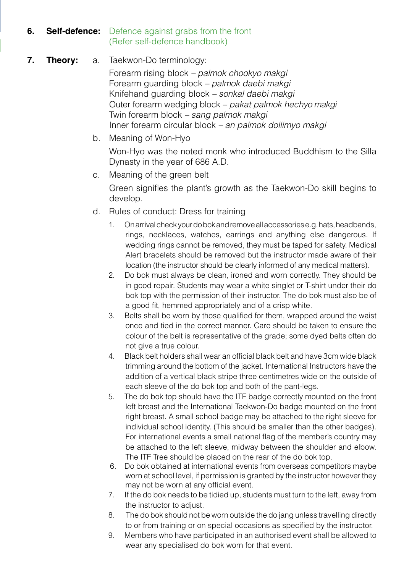## **6. Self-defence:** Defence against grabs from the front (Refer self-defence handbook)

## **7. Theory:** a. Taekwon-Do terminology:

 Forearm rising block *– palmok chookyo makgi* Forearm guarding block *– palmok daebi makgi* Knifehand guarding block *– sonkal daebi makgi* Outer forearm wedging block *– pakat palmok hechyo makgi* Twin forearm block *– sang palmok makgi* Inner forearm circular block *– an palmok dollimyo makgi*

- b. Meaning of Won-Hyo Won-Hyo was the noted monk who introduced Buddhism to the Silla Dynasty in the year of 686 A.D.
- c. Meaning of the green belt Green signifies the plant's growth as the Taekwon-Do skill begins to develop.
- d. Rules of conduct: Dress for training
	- 1. On arrival check your do bok and remove all accessories e.g. hats, headbands, rings, necklaces, watches, earrings and anything else dangerous. If wedding rings cannot be removed, they must be taped for safety. Medical Alert bracelets should be removed but the instructor made aware of their location (the instructor should be clearly informed of any medical matters).
	- 2. Do bok must always be clean, ironed and worn correctly. They should be in good repair. Students may wear a white singlet or T-shirt under their do bok top with the permission of their instructor. The do bok must also be of a good fit, hemmed appropriately and of a crisp white.
	- 3. Belts shall be worn by those qualified for them, wrapped around the waist once and tied in the correct manner. Care should be taken to ensure the colour of the belt is representative of the grade; some dyed belts often do not give a true colour.
	- 4. Black belt holders shall wear an official black belt and have 3cm wide black trimming around the bottom of the jacket. International Instructors have the addition of a vertical black stripe three centimetres wide on the outside of each sleeve of the do bok top and both of the pant-legs.
	- 5. The do bok top should have the ITF badge correctly mounted on the front left breast and the International Taekwon-Do badge mounted on the front right breast. A small school badge may be attached to the right sleeve for individual school identity. (This should be smaller than the other badges). For international events a small national flag of the member's country may be attached to the left sleeve, midway between the shoulder and elbow. The ITF Tree should be placed on the rear of the do bok top.
	- 6. Do bok obtained at international events from overseas competitors maybe worn at school level, if permission is granted by the instructor however they may not be worn at any official event.
	- 7. If the do bok needs to be tidied up, students must turn to the left, away from the instructor to adjust.
	- 8. The do bok should not be worn outside the do jang unless travelling directly to or from training or on special occasions as specified by the instructor.
	- 9. Members who have participated in an authorised event shall be allowed to wear any specialised do bok worn for that event.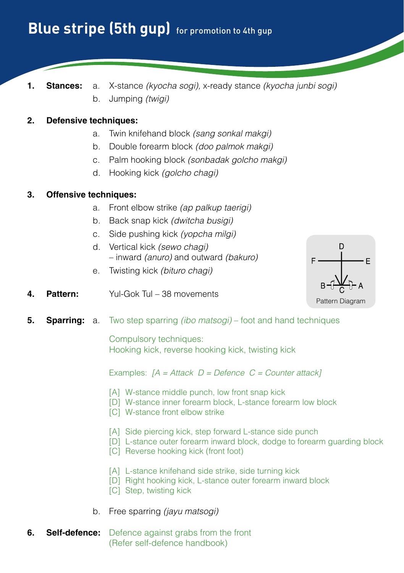**1. Stances:** a. X-stance *(kyocha sogi),* x-ready stance *(kyocha junbi sogi)* b. Jumping *(twigi)*

### **2. Defensive techniques:**

- a. Twin knifehand block *(sang sonkal makgi)*
- b. Double forearm block *(doo palmok makgi)*
- c. Palm hooking block *(sonbadak golcho makgi)*
- d. Hooking kick *(golcho chagi)*

#### **3. Offensive techniques:**

- a. Front elbow strike *(ap palkup taerigi)*
- b. Back snap kick *(dwitcha busigi)*
- c. Side pushing kick *(yopcha milgi)*
- d. Vertical kick *(sewo chagi)* – inward *(anuro)* and outward *(bakuro)*
- e. Twisting kick *(bituro chagi)*



- **4. Pattern:** Yul-Gok Tul 38 movements
- **5. Sparring:** a. Two step sparring *(ibo matsogi)* foot and hand techniques

 Compulsory techniques: Hooking kick, reverse hooking kick, twisting kick

- [A] W-stance middle punch, low front snap kick
- [D] W-stance inner forearm block, L-stance forearm low block
- [C] W-stance front elbow strike
- [A] Side piercing kick, step forward L-stance side punch
- [D] L-stance outer forearm inward block, dodge to forearm guarding block
- [C] Reverse hooking kick (front foot)
- [A] L-stance knifehand side strike, side turning kick
- [D] Right hooking kick, L-stance outer forearm inward block
- [C] Step, twisting kick
- b. Free sparring *(jayu matsogi)*
- **6. Self-defence:** Defence against grabs from the front (Refer self-defence handbook)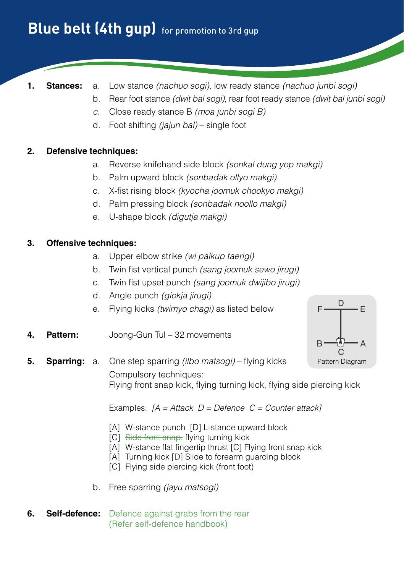## **Blue belt (4th qup)** for promotion to 3rd qup

- 
- **1. Stances:** a. Low stance *(nachuo sogi),* low ready stance *(nachuo junbi sogi)*
	- b. Rear foot stance *(dwit bal sogi),* rear foot ready stance *(dwit bal junbi sogi)*
	- *c.* Close ready stance B *(moa junbi sogi B)*
	- d. Foot shifting *(jajun bal)*  single foot

## **2. Defensive techniques:**

- a. Reverse knifehand side block *(sonkal dung yop makgi)*
- b. Palm upward block *(sonbadak ollyo makgi)*
- c. X-fist rising block *(kyocha joomuk chookyo makgi)*
- d. Palm pressing block *(sonbadak noollo makgi)*
- e. U-shape block *(digutja makgi)*

## **3. Offensive techniques:**

- a. Upper elbow strike *(wi palkup taerigi)*
- b. Twin fist vertical punch *(sang joomuk sewo jirugi)*
- c. Twin fist upset punch *(sang joomuk dwijibo jirugi)*
- d. Angle punch *(giokja jirugi)*
- e. Flying kicks *(twimyo chagi)* as listed below
- **4. Pattern:** Joong-Gun Tul 32 movements



**5. Sparring:** a. One step sparring *(ilbo matsogi)* – flying kicks Compulsory techniques: Flying front snap kick, flying turning kick, flying side piercing kick

- [A] W-stance punch [D] L-stance upward block
- [C] Side front snap, flying turning kick
- [A] W-stance flat fingertip thrust [C] Flying front snap kick
- [A] Turning kick [D] Slide to forearm guarding block
- [C] Flying side piercing kick (front foot)
- b. Free sparring *(jayu matsogi)*
- **6. Self-defence:** Defence against grabs from the rear (Refer self-defence handbook)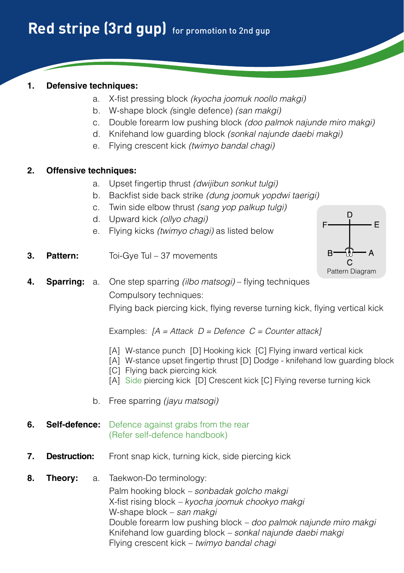## **1. Defensive techniques:**

- a. X-fist pressing block *(kyocha joomuk noollo makgi)*
- b. W-shape block *(*single defence) *(san makgi)*
- c. Double forearm low pushing block *(doo palmok najunde miro makgi)*
- d. Knifehand low guarding block *(sonkal najunde daebi makgi)*
- e. Flying crescent kick *(twimyo bandal chagi)*

## **2. Offensive techniques:**

- a. Upset fingertip thrust *(dwijibun sonkut tulgi)*
- b. Backfist side back strike *(dung joomuk yopdwi taerigi)*
- c. Twin side elbow thrust *(sang yop palkup tulgi)*
- d. Upward kick *(ollyo chagi)*
- e. Flying kicks *(twimyo chagi)* as listed below
- **3. Pattern:** Toi-Gye Tul 37 movements



**4. Sparring:** a. One step sparring *(ilbo matsogi)* – flying techniques Compulsory techniques:

Flying back piercing kick, flying reverse turning kick, flying vertical kick

Examples: *[A = Attack D = Defence C = Counter attack]*

- [A] W-stance punch [D] Hooking kick [C] Flying inward vertical kick
- [A] W-stance upset fingertip thrust [D] Dodge knifehand low guarding block
- [C] Flying back piercing kick
- [A] Side piercing kick [D] Crescent kick [C] Flying reverse turning kick
- b. Free sparring *(jayu matsogi)*

## **6. Self-defence:** Defence against grabs from the rear (Refer self-defence handbook)

**7. Destruction:** Front snap kick, turning kick, side piercing kick

## **8. Theory:** a. Taekwon-Do terminology: Palm hooking block *– sonbadak golcho makgi*  X-fist rising block *– kyocha joomuk chookyo makgi* W-shape block – *san makgi* Double forearm low pushing block *– doo palmok najunde miro makgi* Knifehand low guarding block *– sonkal najunde daebi makgi* Flying crescent kick – *twimyo bandal chagi*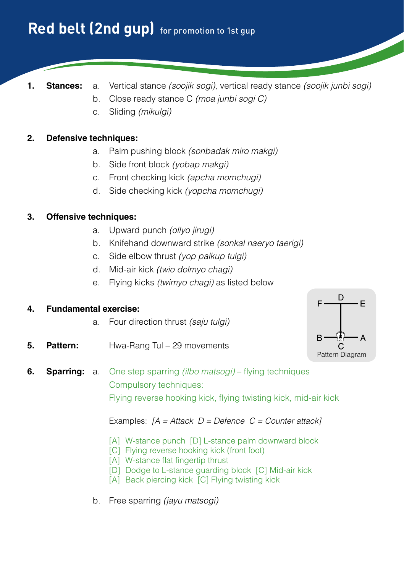- **1. Stances:** a. Vertical stance *(soojik sogi),* vertical ready stance *(soojik junbi sogi)*
	- b. Close ready stance C *(moa junbi sogi C)*
	- c. Sliding *(mikulgi)*

## **2. Defensive techniques:**

- a. Palm pushing block *(sonbadak miro makgi)*
- b. Side front block *(yobap makgi)*
- c. Front checking kick *(apcha momchugi)*
- d. Side checking kick *(yopcha momchugi)*

#### **3. Offensive techniques:**

- a. Upward punch *(ollyo jirugi)*
- b. Knifehand downward strike *(sonkal naeryo taerigi)*
- c. Side elbow thrust *(yop palkup tulgi)*
- d. Mid-air kick *(twio dolmyo chagi)*
- e. Flying kicks *(twimyo chagi)* as listed below

#### **4. Fundamental exercise:**

- a. Four direction thrust *(saju tulgi)*
- **5. Pattern:** Hwa-Rang Tul 29 movements



## **6. Sparring:** a. One step sparring *(ilbo matsogi)* – flying techniques Compulsory techniques: Flying reverse hooking kick, flying twisting kick, mid-air kick

- [A] W-stance punch [D] L-stance palm downward block
- [C] Flying reverse hooking kick (front foot)
- [A] W-stance flat fingertip thrust
- [D] Dodge to L-stance guarding block [C] Mid-air kick
- [A] Back piercing kick [C] Flying twisting kick
- b. Free sparring *(jayu matsogi)*